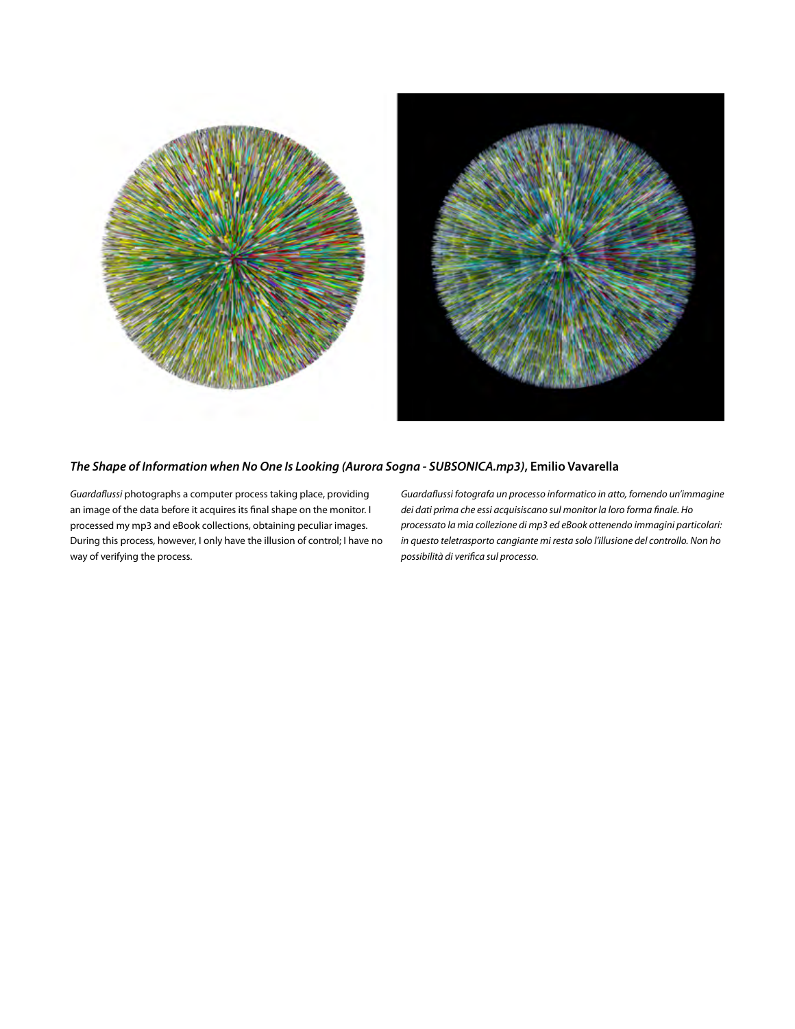



## *The Shape of Information when No One Is Looking (Aurora Sogna - SUBSONICA.mp3)***, Emilio Vavarella**

*Guardaflussi* photographs a computer process taking place, providing an image of the data before it acquires its final shape on the monitor. I processed my mp3 and eBook collections, obtaining peculiar images. During this process, however, I only have the illusion of control; I have no way of verifying the process.

*Guardaflussi fotografa un processo informatico in atto, fornendo un'immagine dei dati prima che essi acquisiscano sul monitor la loro forma finale. Ho processato la mia collezione di mp3 ed eBook ottenendo immagini particolari: in questo teletrasporto cangiante mi resta solo l'illusione del controllo. Non ho possibilità di verifica sul processo.*